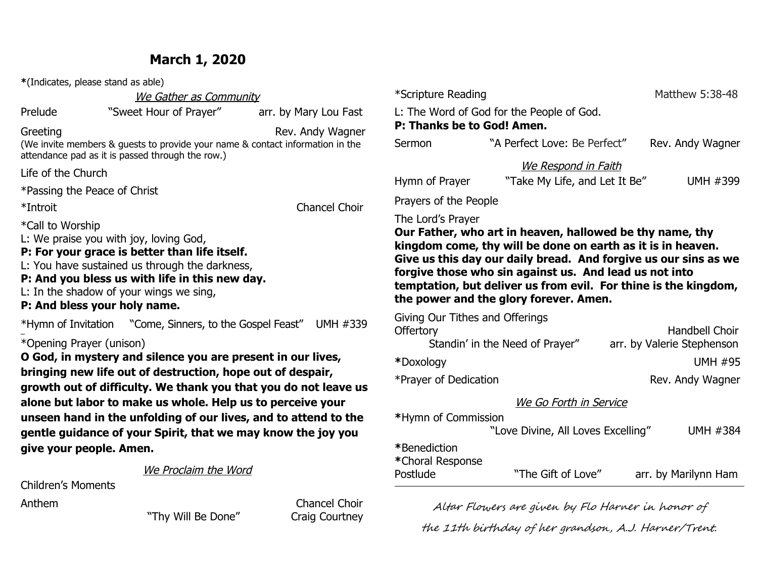## **March 1, 2020**

| *(Indicates, please stand as able)                  |  |                                                                                                                                                                                                                                        |                                                                                                                                                                                                                                                                  |
|-----------------------------------------------------|--|----------------------------------------------------------------------------------------------------------------------------------------------------------------------------------------------------------------------------------------|------------------------------------------------------------------------------------------------------------------------------------------------------------------------------------------------------------------------------------------------------------------|
|                                                     |  | We Gather as Community                                                                                                                                                                                                                 |                                                                                                                                                                                                                                                                  |
| Prelude                                             |  | "Sweet Hour of Prayer"                                                                                                                                                                                                                 | arr. by Mary Lou Fast                                                                                                                                                                                                                                            |
| Greeting                                            |  | attendance pad as it is passed through the row.)                                                                                                                                                                                       | Rev. Andy Wagner<br>(We invite members & guests to provide your name & contact information in the                                                                                                                                                                |
| Life of the Church                                  |  |                                                                                                                                                                                                                                        |                                                                                                                                                                                                                                                                  |
| *Passing the Peace of Christ                        |  |                                                                                                                                                                                                                                        |                                                                                                                                                                                                                                                                  |
| *Introit                                            |  |                                                                                                                                                                                                                                        | <b>Chancel Choir</b>                                                                                                                                                                                                                                             |
| *Call to Worship<br>P: And bless your holy name.    |  | L: We praise you with joy, loving God,<br>P: For your grace is better than life itself.<br>L: You have sustained us through the darkness,<br>P: And you bless us with life in this new day.<br>L: In the shadow of your wings we sing, |                                                                                                                                                                                                                                                                  |
|                                                     |  |                                                                                                                                                                                                                                        |                                                                                                                                                                                                                                                                  |
| *Opening Prayer (unison)<br>give your people. Amen. |  | O God, in mystery and silence you are present in our lives,<br>bringing new life out of destruction, hope out of despair,                                                                                                              | growth out of difficulty. We thank you that you do not leave us<br>alone but labor to make us whole. Help us to perceive your<br>unseen hand in the unfolding of our lives, and to attend to the<br>gentle guidance of your Spirit, that we may know the joy you |
|                                                     |  | We Proclaim the Word                                                                                                                                                                                                                   |                                                                                                                                                                                                                                                                  |
| <b>Children's Moments</b>                           |  |                                                                                                                                                                                                                                        |                                                                                                                                                                                                                                                                  |
| Anthem                                              |  |                                                                                                                                                                                                                                        | <b>Chancel Choir</b>                                                                                                                                                                                                                                             |

"Thy Will Be Done" Craig Courtney

| *Scripture Reading                                                                                                                                                                                                                                                                                                                                                                     |                                                             |  | Matthew 5:38-48                                     |  |
|----------------------------------------------------------------------------------------------------------------------------------------------------------------------------------------------------------------------------------------------------------------------------------------------------------------------------------------------------------------------------------------|-------------------------------------------------------------|--|-----------------------------------------------------|--|
| P: Thanks be to God! Amen.                                                                                                                                                                                                                                                                                                                                                             | L: The Word of God for the People of God.                   |  |                                                     |  |
| Sermon                                                                                                                                                                                                                                                                                                                                                                                 | "A Perfect Love: Be Perfect"                                |  | Rev. Andy Wagner                                    |  |
| Hymn of Prayer                                                                                                                                                                                                                                                                                                                                                                         | <u>We Respond in Faith</u><br>"Take My Life, and Let It Be" |  | UMH #399                                            |  |
| Prayers of the People                                                                                                                                                                                                                                                                                                                                                                  |                                                             |  |                                                     |  |
| The Lord's Prayer<br>Our Father, who art in heaven, hallowed be thy name, thy<br>kingdom come, thy will be done on earth as it is in heaven.<br>Give us this day our daily bread. And forgive us our sins as we<br>forgive those who sin against us. And lead us not into<br>temptation, but deliver us from evil. For thine is the kingdom,<br>the power and the glory forever. Amen. |                                                             |  |                                                     |  |
| Giving Our Tithes and Offerings<br><b>Offertory</b>                                                                                                                                                                                                                                                                                                                                    | Standin' in the Need of Prayer"                             |  | <b>Handbell Choir</b><br>arr. by Valerie Stephenson |  |
| *Doxology                                                                                                                                                                                                                                                                                                                                                                              |                                                             |  | <b>UMH #95</b>                                      |  |
| *Prayer of Dedication                                                                                                                                                                                                                                                                                                                                                                  |                                                             |  | Rev. Andy Wagner                                    |  |
|                                                                                                                                                                                                                                                                                                                                                                                        | We Go Forth in Service                                      |  |                                                     |  |

| *Hymn of Commission              |                                    |                      |
|----------------------------------|------------------------------------|----------------------|
|                                  | "Love Divine, All Loves Excelling" | <b>UMH #384</b>      |
| *Benediction<br>*Choral Response |                                    |                      |
| Postlude                         | "The Gift of Love"                 | arr. by Marilynn Ham |

Altar Flowers are given by Flo Harner in honor of the 11th birthday of her grandson, A.J. Harner/Trent.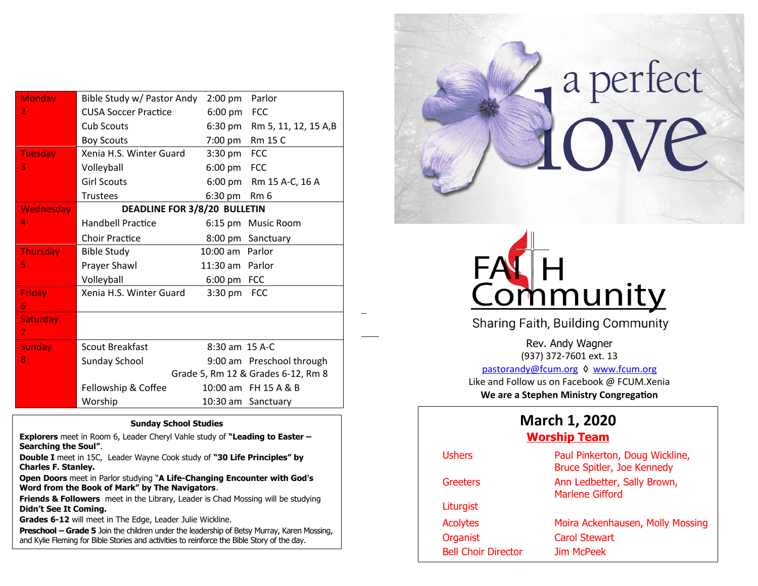| <b>Monday</b>    | Bible Study w/ Pastor Andy   | $2:00$ pm         | Parlor                             |
|------------------|------------------------------|-------------------|------------------------------------|
| 2                | <b>CUSA Soccer Practice</b>  | $6:00 \text{ pm}$ | <b>FCC</b>                         |
|                  | <b>Cub Scouts</b>            | 6:30 pm           | Rm 5, 11, 12, 15 A,B               |
|                  | <b>Boy Scouts</b>            | 7:00 pm           | Rm 15 C                            |
| <b>Tuesday</b>   | Xenia H.S. Winter Guard      | $3:30 \text{ pm}$ | <b>FCC</b>                         |
| 3                | Volleyball                   | $6:00 \text{ pm}$ | <b>FCC</b>                         |
|                  | <b>Girl Scouts</b>           |                   | 6:00 pm Rm 15 A-C, 16 A            |
|                  | <b>Trustees</b>              | 6:30 pm           | Rm <sub>6</sub>                    |
| <b>Wednesday</b> | DEADLINE FOR 3/8/20 BULLETIN |                   |                                    |
| 4                | <b>Handbell Practice</b>     |                   | 6:15 pm Music Room                 |
|                  | <b>Choir Practice</b>        |                   | 8:00 pm Sanctuary                  |
| <b>Thursday</b>  | <b>Bible Study</b>           | 10:00 am          | Parlor                             |
| 5                | Prayer Shawl                 | 11:30 am Parlor   |                                    |
|                  | Volleyball                   | 6:00 pm FCC       |                                    |
| <b>Friday</b>    | Xenia H.S. Winter Guard      | $3:30$ pm         | <b>FCC</b>                         |
| 6                |                              |                   |                                    |
| <b>Saturday</b>  |                              |                   |                                    |
| 7.               |                              |                   |                                    |
| <b>Sunday</b>    | <b>Scout Breakfast</b>       | 8:30 am 15 A-C    |                                    |
| 8                | <b>Sunday School</b>         |                   | 9:00 am Preschool through          |
|                  |                              |                   | Grade 5, Rm 12 & Grades 6-12, Rm 8 |
|                  | Fellowship & Coffee          |                   | 10:00 am FH 15 A & B               |
|                  | Worship                      |                   | 10:30 am Sanctuary                 |

1

#### **Sunday School Studies**

**Explorers** meet in Room 6, Leader Cheryl Vahle study of **"Leading to Easter – Searching the Soul"**.

**Double I** meet in 15C, Leader Wayne Cook study of **"30 Life Principles" by Charles F. Stanley.**

**Open Doors** meet in Parlor studying "**A Life-Changing Encounter with God's Word from the Book of Mark" by The Navigators**.

**Friends & Followers** meet in the Library, Leader is Chad Mossing will be studying **Didn't See It Coming.**

**Grades 6-12** will meet in The Edge, Leader Julie Wickline.

**Preschool – Grade 5** Join the children under the leadership of Betsy Murray, Karen Mossing, and Kylie Fleming for Bible Stories and activities to reinforce the Bible Story of the day.





Sharing Faith, Building Community

Rev. Andy Wagner (937) 372-7601 ext. 13 [pastorandy@fcum.org](mailto:pastorandy@fcum.org) ◊ [www.fcum.org](http://www.fcum.org/) Like and Follow us on Facebook @ FCUM.Xenia **We are a Stephen Ministry Congregation**

# **March 1, 2020**

### **Worship Team**

| <b>Ushers</b>              | Paul Pinkerton, Doug Wickline,<br>Bruce Spitler, Joe Kennedy |
|----------------------------|--------------------------------------------------------------|
| Greeters                   | Ann Ledbetter, Sally Brown,<br><b>Marlene Gifford</b>        |
| Liturgist                  |                                                              |
| <b>Acolytes</b>            | Moira Ackenhausen, Molly Mossing                             |
| Organist                   | <b>Carol Stewart</b>                                         |
| <b>Bell Choir Director</b> | Jim McPeek                                                   |